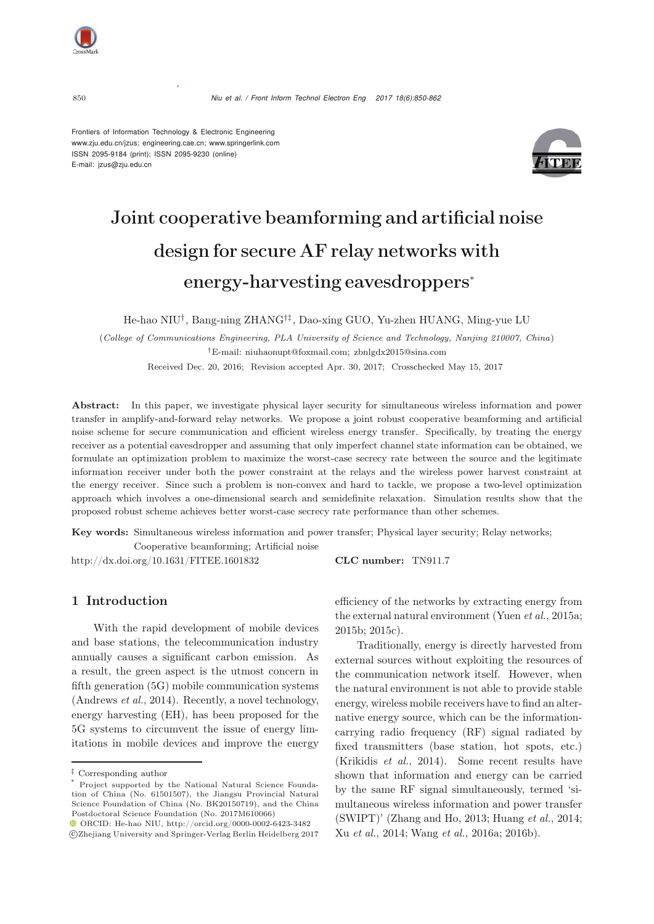

Frontiers of Information Technology & Electronic Engineering www.zju.edu.cn/jzus; engineering.cae.cn; www.springerlink.com ISSN 2095-9184 (print); ISSN 2095-9230 (online) E-mail: jzus@zju.edu.cn



# Joint cooperative beamforming and artificial noise design for secure AF relay networks with energy-harvesting eavesdroppers<sup>∗</sup>

He-hao NIU†, Bang-ning ZHANG†‡, Dao-xing GUO, Yu-zhen HUANG, Ming-yue LU

(*College of Communications Engineering, PLA University of Science and Technology, Nanjing 210007, China*) *†*E-mail: niuhaonupt@foxmail.com; zbnlgdx2015@sina.com Received Dec. 20, 2016; Revision accepted Apr. 30, 2017; Crosschecked May 15, 2017

Abstract: In this paper, we investigate physical layer security for simultaneous wireless information and power transfer in amplify-and-forward relay networks. We propose a joint robust cooperative beamforming and artificial noise scheme for secure communication and efficient wireless energy transfer. Specifically, by treating the energy receiver as a potential eavesdropper and assuming that only imperfect channel state information can be obtained, we formulate an optimization problem to maximize the worst-case secrecy rate between the source and the legitimate information receiver under both the power constraint at the relays and the wireless power harvest constraint at the energy receiver. Since such a problem is non-convex and hard to tackle, we propose a two-level optimization approach which involves a one-dimensional search and semidefinite relaxation. Simulation results show that the proposed robust scheme achieves better worst-case secrecy rate performance than other schemes.

Key words: Simultaneous wireless information and power transfer; Physical layer security; Relay networks;

Cooperative beamforming; Artificial noise http://dx.doi.org/10.1631/FITEE.1601832 CLC number: TN911.7

## 1 Introduction

With the rapid development of mobile devices and base stations, the telecommunication industry annually causes a significant carbon emission. As a result, the green aspect is the utmost concern in fifth generation (5G) mobile communication systems [\(Andrews](#page-9-0) *et al.*, [2014](#page-9-0)). Recently, a novel technology, energy harvesting (EH), has been proposed for the 5G systems to circumvent the issue of energy limitations in mobile devices and improve the energy

efficiency of the networks by extracting energy from the external natural environment (Yuen *et al.*, 2015a; 2015b; 2015c).

Traditionally, energy is directly harvested from external sources without exploiting the resources of the communication network itself. However, when the natural environment is not able to provide stable energy, wireless mobile receivers have to find an alternative energy source, which can be the informationcarrying radio frequency (RF) signal radiated by fixed transmitters (base station, hot spots, etc.) [\(Krikidis](#page-10-0) *et al.*, [2014](#page-10-0)). Some recent results have shown that information and energy can be carried by the same RF signal simultaneously, termed 'simultaneous wireless information and power transfer (SWIPT)' (Zhang and Ho, 2013; Huang *et al.*, 2014; Xu *et al.*, 2014; Wang *et al.*, 2016a; 2016b).

*<sup>‡</sup>* Corresponding author

Project supported by the National Natural Science Foundation of China (No. 61501507), the Jiangsu Provincial Natural Science Foundation of China (No. BK20150719), and the China Postdoctoral Science Foundation (No. 2017M610066)

ORCID: He-hao NIU, http://orcid.org/0000-0002-6423-3482 c Zhejiang University and Springer-Verlag Berlin Heidelberg 2017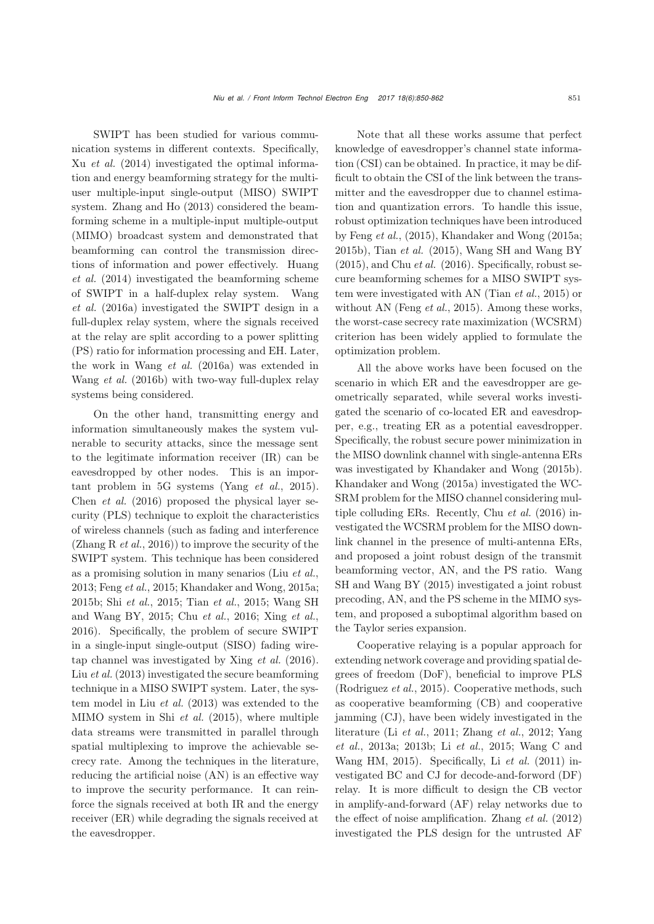SWIPT has been studied for various communication systems in different contexts. Specifically, Xu *[et al.](#page-10-1)* [\(2014\)](#page-10-1) investigated the optimal information and energy beamforming strategy for the multiuser multiple-input single-output (MISO) SWIPT system. [Zhang and Ho](#page-11-0) [\(2013\)](#page-11-0) considered the beamforming scheme in a multiple-input multiple-output (MIMO) broadcast system and demonstrated that beamforming can control the transmission directions [of](#page-10-2) [information](#page-10-2) [and](#page-10-2) [power](#page-10-2) [effectively.](#page-10-2) Huang *et al.* [\(2014](#page-10-2)) investigated the beamforming scheme of S[WIPT](#page-10-3) [in](#page-10-3) [a](#page-10-3) [half-duplex](#page-10-3) [relay](#page-10-3) [system.](#page-10-3) Wang *et al.* [\(2016a](#page-10-3)) investigated the SWIPT design in a full-duplex relay system, where the signals received at the relay are split according to a power splitting (PS) ratio for information processing and EH. Later, the work in [Wang](#page-10-3) *et al.* [\(2016a](#page-10-3)) was extended in [Wang](#page-10-4) *et al.* [\(2016b](#page-10-4)) with two-way full-duplex relay systems being considered.

On the other hand, transmitting energy and information simultaneously makes the system vulnerable to security attacks, since the message sent to the legitimate information receiver (IR) can be eavesdropped by other nodes. This is an important problem in 5G systems [\(Yang](#page-11-1) *et al.*, [2015\)](#page-11-1). [Chen](#page-10-5) *et al.* [\(2016\)](#page-10-5) proposed the physical layer security (PLS) technique to exploit the characteristics of wireless channels (such as fading and interference [\(Zhang R](#page-11-2) *et al.*, [2016\)](#page-11-2)) to improve the security of the SWIPT system. This technique has been considered as a promising solution in many senarios (Liu *et al.*, 2013; Feng *et al.*, 2015; Khandaker and Wong, 2015a; 2015b; Shi *et al.*, 2015; Tian *et al.*, 2015; Wang SH and Wang BY, 2015; Chu *et al.*, 2016; Xing *et al.*, 2016). Specifically, the problem of secure SWIPT in a single-input single-output (SISO) fading wiretap channel was investigated by [Xing](#page-10-6) *et al.* [\(2016\)](#page-10-6). Liu *[et al.](#page-10-7)* [\(2013\)](#page-10-7) investigated the secure beamforming technique in a MISO SWIPT system. Later, the system model in Liu *[et al.](#page-10-7)* [\(2013\)](#page-10-7) was extended to the MIMO system in Shi *[et al.](#page-10-8)* [\(2015\)](#page-10-8), where multiple data streams were transmitted in parallel through spatial multiplexing to improve the achievable secrecy rate. Among the techniques in the literature, reducing the artificial noise (AN) is an effective way to improve the security performance. It can reinforce the signals received at both IR and the energy receiver (ER) while degrading the signals received at the eavesdropper.

Note that all these works assume that perfect knowledge of eavesdropper's channel state information (CSI) can be obtained. In practice, it may be difficult to obtain the CSI of the link between the transmitter and the eavesdropper due to channel estimation and quantization errors. To handle this issue, robust optimization techniques have been introduced by Feng *et al.*, (2015), Khandaker and Wong (2015a; 2015b), Tian *et al.* (2015), Wang SH and Wang BY (2015), and Chu *et al.* (2016). Specifically, robust secure beamforming schemes for a MISO SWIPT system were investigated with AN [\(Tian](#page-10-9) *et al.*, [2015\)](#page-10-9) or without AN [\(Feng](#page-10-10) *et al.*, [2015](#page-10-10)). Among these works, the worst-case secrecy rate maximization (WCSRM) criterion has been widely applied to formulate the optimization problem.

All the above works have been focused on the scenario in which ER and the eavesdropper are geometrically separated, while several works investigated the scenario of co-located ER and eavesdropper, e.g., treating ER as a potential eavesdropper. Specifically, the robust secure power minimization in the MISO downlink channel with single-antenna ERs was investigated by [Khandaker and Wong](#page-10-11) [\(2015b\)](#page-10-11). [Khandaker and Wong](#page-10-12) [\(2015a\)](#page-10-12) investigated the WC-SRM problem for the MISO channel considering multiple colluding ERs. Recently, Chu *[et al.](#page-10-13)* [\(2016](#page-10-13)) investigated the WCSRM problem for the MISO downlink channel in the presence of multi-antenna ERs, and proposed a joint robust design of the transmit beamforming vec[tor,](#page-10-14) [AN,](#page-10-14) [and](#page-10-14) [the](#page-10-14) [PS](#page-10-14) [ratio.](#page-10-14) Wang SH and Wang BY [\(2015\)](#page-10-14) investigated a joint robust precoding, AN, and the PS scheme in the MIMO system, and proposed a suboptimal algorithm based on the Taylor series expansion.

Cooperative relaying is a popular approach for extending network coverage and providing spatial degrees of freedom (DoF), beneficial to improve PLS [\(Rodriguez](#page-10-15) *et al.*, [2015\)](#page-10-15). Cooperative methods, such as cooperative beamforming (CB) and cooperative jamming (CJ), have been widely investigated in the literature (Li *et al.*, 2011; Zhang *et al.*, 2012; Yang *et al.*, 2013a; 2013b; Li *et al.*, 2015; Wang C and Wang HM, 2015). Specifically, Li *[et al.](#page-10-16)* [\(2011\)](#page-10-16) investigated BC and CJ for decode-and-forword (DF) relay. It is more difficult to design the CB vector in amplify-and-forward (AF) relay networks due to the effect of noise amplification. [Zhang](#page-11-3) *et al.* [\(2012](#page-11-3)) investigated the PLS design for the untrusted AF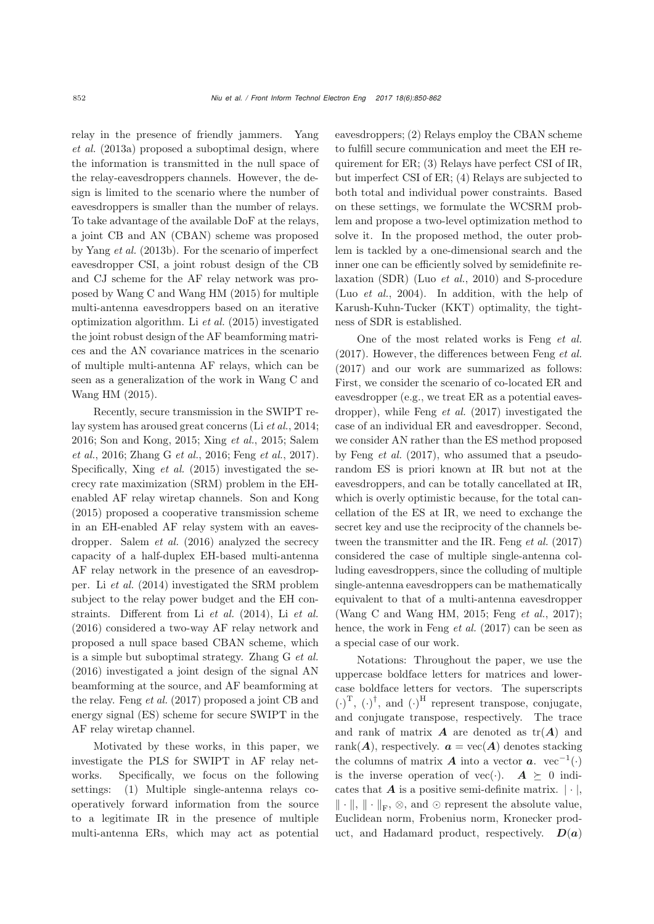relay [in](#page-11-4) [the](#page-11-4) [presence](#page-11-4) [of](#page-11-4) [friendly](#page-11-4) [jammers.](#page-11-4) Yang *et al.* [\(2013a](#page-11-4)) proposed a suboptimal design, where the information is transmitted in the null space of the relay-eavesdroppers channels. However, the design is limited to the scenario where the number of eavesdroppers is smaller than the number of relays. To take advantage of the available DoF at the relays, a joint CB and AN (CBAN) scheme was proposed by [Yang](#page-11-5) *et al.* [\(2013b\)](#page-11-5). For the scenario of imperfect eavesdropper CSI, a joint robust design of the CB and CJ scheme for the AF relay network was proposed by [Wang C and Wang HM](#page-10-17) [\(2015](#page-10-17)) for multiple multi-antenna eavesdroppers based on an iterative optimization algorithm. Li *[et al.](#page-10-18)* [\(2015\)](#page-10-18) investigated the joint robust design of the AF beamforming matrices and the AN covariance matrices in the scenario of multiple multi-antenna AF relays, which can be seen as a [generalization](#page-10-17) [of](#page-10-17) [the](#page-10-17) [work](#page-10-17) [in](#page-10-17) Wang C and Wang HM [\(2015\)](#page-10-17).

Recently, secure transmission in the SWIPT relay system has aroused great concerns (Li *[et al.](#page-10-19)*, [2014;](#page-10-19) [2016](#page-10-20)[;](#page-10-23) [Son and Kong](#page-10-21)[,](#page-10-23) [2015;](#page-10-21) [Xing](#page-10-22) *et al.*, [2015](#page-10-22); Salem *et al.*, [2016;](#page-10-23) [Zhang G](#page-11-6) *et al.*, [2016](#page-11-6); [Feng](#page-10-24) *et al.*, [2017\)](#page-10-24). Specifically, [Xing](#page-10-22) *et al.* [\(2015](#page-10-22)) investigated the secrecy rate maximization (SRM) problem in the EHenabled AF relay wiretap channels. [Son and Kong](#page-10-21) [\(2015](#page-10-21)) proposed a cooperative transmission scheme in an EH-enabled AF relay system with an eavesdropper. [Salem](#page-10-23) *et al.* [\(2016](#page-10-23)) analyzed the secrecy capacity of a half-duplex EH-based multi-antenna AF relay network in the presence of an eavesdropper. Li *[et al.](#page-10-19)* [\(2014\)](#page-10-19) investigated the SRM problem subject to the relay power budget and the EH constraints. Different from Li *[et al.](#page-10-19)* [\(2014](#page-10-19)), Li *[et al.](#page-10-20)* [\(2016](#page-10-20)) considered a two-way AF relay network and proposed a null space based CBAN scheme, which is a simple but suboptimal strategy. [Zhang G](#page-11-6) *et al.* [\(2016](#page-11-6)) investigated a joint design of the signal AN beamforming at the source, and AF beamforming at the relay. [Feng](#page-10-24) *et al.* [\(2017](#page-10-24)) proposed a joint CB and energy signal (ES) scheme for secure SWIPT in the AF relay wiretap channel.

Motivated by these works, in this paper, we investigate the PLS for SWIPT in AF relay networks. Specifically, we focus on the following settings: (1) Multiple single-antenna relays cooperatively forward information from the source to a legitimate IR in the presence of multiple multi-antenna ERs, which may act as potential

eavesdroppers; (2) Relays employ the CBAN scheme to fulfill secure communication and meet the EH requirement for ER; (3) Relays have perfect CSI of IR, but imperfect CSI of ER; (4) Relays are subjected to both total and individual power constraints. Based on these settings, we formulate the WCSRM problem and propose a two-level optimization method to solve it. In the proposed method, the outer problem is tackled by a one-dimensional search and the inner one can be efficiently solved by semidefinite relaxation (SDR) (Luo *[et al.](#page-10-25)*, [2010\)](#page-10-25) and S-procedure (Luo *[et al.](#page-10-26)*, [2004\)](#page-10-26). In addition, with the help of Karush-Kuhn-Tucker (KKT) optimality, the tightness of SDR is established.

One of the most related works is Feng *[et al.](#page-10-24)* [\(2017](#page-10-24)). However, the differences between [Feng](#page-10-24) *et al.* [\(2017](#page-10-24)) and our work are summarized as follows: First, we consider the scenario of co-located ER and eavesdropper (e.g., we treat ER as a potential eavesdropper), while [Feng](#page-10-24) *et al.* [\(2017\)](#page-10-24) investigated the case of an individual ER and eavesdropper. Second, we consider AN rather than the ES method proposed by [Feng](#page-10-24) *et al.* [\(2017\)](#page-10-24), who assumed that a pseudorandom ES is priori known at IR but not at the eavesdroppers, and can be totally cancellated at IR, which is overly optimistic because, for the total cancellation of the ES at IR, we need to exchange the secret key and use the reciprocity of the channels between the transmitter and the IR. [Feng](#page-10-24) *et al.* [\(2017](#page-10-24)) considered the case of multiple single-antenna colluding eavesdroppers, since the colluding of multiple single-antenna eavesdroppers can be mathematically equivalent to that of a multi-antenna eavesdropper [\(Wang C and Wang HM](#page-10-17), [2015](#page-10-17); [Feng](#page-10-24) *et al.*, [2017\)](#page-10-24); hence, the work in [Feng](#page-10-24) *et al.* [\(2017](#page-10-24)) can be seen as a special case of our work.

Notations: Throughout the paper, we use the uppercase boldface letters for matrices and lowercase boldface letters for vectors. The superscripts  $\left(\cdot\right)^{\mathrm{T}}$ ,  $\left(\cdot\right)^{\dagger}$ , and  $\left(\cdot\right)^{\mathrm{H}}$  represent transpose, conjugate, and conjugate transpose, respectively. The trace and rank of matrix  $\boldsymbol{A}$  are denoted as  $tr(\boldsymbol{A})$  and rank( $A$ ), respectively.  $a = \text{vec}(A)$  denotes stacking the columns of matrix *A* into a vector *a*. vec<sup>-1</sup>(·) is the inverse operation of  $\text{vec}(\cdot)$ .  $\mathbf{A} \succeq 0$  indicates that  $\mathbf{A}$  is a positive same definite matrix  $|\cdot|$ cates that  $\boldsymbol{A}$  is a positive semi-definite matrix.  $|\cdot|$ ,  $\|\cdot\|, \|\cdot\|_{\mathrm{F}}, \otimes, \text{ and } \odot$  represent the absolute value, Euclidean norm, Frobenius norm, Kronecker product, and Hadamard product, respectively.  $D(a)$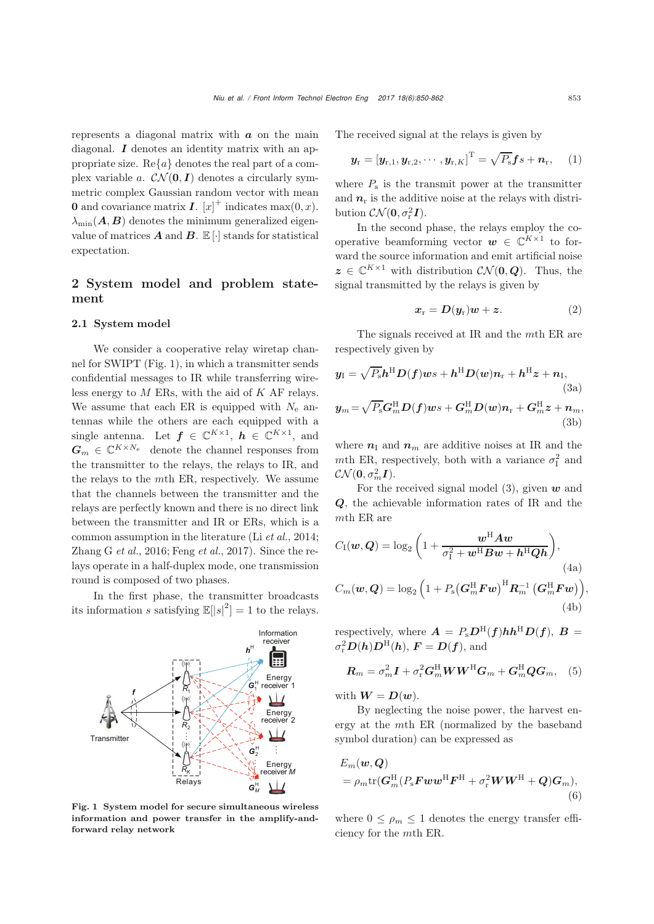represents a diagonal matrix with *a* on the main diagonal. *I* denotes an identity matrix with an appropriate size.  $\text{Re}\{a\}$  denotes the real part of a complex variable a.  $CN(0, I)$  denotes a circularly symmetric complex Gaussian random vector with mean **0** and covariance matrix *I*.  $[x]^+$  indicates max $(0, x)$ .  $\lambda_{\min}(\mathbf{A}, \mathbf{B})$  denotes the minimum generalized eigenvalue of matrices  $A$  and  $B$ .  $\mathbb{E}[\cdot]$  stands for statistical expectation.

# 2 System model and problem statement

#### 2.1 System model

We consider a cooperative relay wiretap channel for SWIPT (Fig. 1), in which a transmitter sends confidential messages to IR while transferring wireless energy to  $M$  ERs, with the aid of  $K$  AF relays. We assume that each ER is equipped with  $N_e$  antennas while the others are each equipped with a single antenna. Let  $f \in \mathbb{C}^{K \times 1}$ ,  $h \in \mathbb{C}^{K \times 1}$ , and  $G_m \in \mathbb{C}^{K \times N_e}$  denote the channel responses from the transmitter to the relays, the relays to IR, and the relays to the mth ER, respectively. We assume that the channels between the transmitter and the relays are perfectly known and there is no direct link between the transmitter and IR or ERs, which is a common assumption in the literature (Li *[et al.](#page-10-19)*, [2014;](#page-10-19) [Zhang G](#page-11-6) *et al.*, [2016;](#page-11-6) [Feng](#page-10-24) *et al.*, [2017\)](#page-10-24). Since the relays operate in a half-duplex mode, one transmission round is composed of two phases.

In the first phase, the transmitter broadcasts its information s satisfying  $\mathbb{E}[|s|^2] = 1$  to the relays.



Fig. 1 System model for secure simultaneous wireless information and power transfer in the amplify-andforward relay network

The received signal at the relays is given by

$$
\boldsymbol{y}_{\mathrm{r}}=[\boldsymbol{y}_{\mathrm{r},1},\boldsymbol{y}_{\mathrm{r},2},\cdots,\boldsymbol{y}_{\mathrm{r},K}]^{\mathrm{T}}=\sqrt{P_{\mathrm{s}}}\boldsymbol{f}s+\boldsymbol{n}_{\mathrm{r}},\quad(1)
$$

where  $P<sub>s</sub>$  is the transmit power at the transmitter and  $n_r$  is the additive noise at the relays with distribution  $\mathcal{CN}(\mathbf{0}, \sigma_{\rm r}^2 \mathbf{I}).$ <br>In the second

In the second phase, the relays employ the cooperative beamforming vector  $w \in \mathbb{C}^{K \times 1}$  to forward the source information and emit artificial noise  $z \in \mathbb{C}^{K \times 1}$  with distribution  $\mathcal{CN}(\mathbf{0}, \mathbf{Q})$ . Thus, the signal transmitted by the relays is given by

$$
x_{\rm r} = D(y_{\rm r})w + z. \tag{2}
$$

The signals received at IR and the mth ER are respectively given by

$$
y_{\mathrm{I}} = \sqrt{P_{\mathrm{s}}}h^{\mathrm{H}}D(f)ws + h^{\mathrm{H}}D(w)n_{\mathrm{r}} + h^{\mathrm{H}}z + n_{\mathrm{I}},
$$
\n(3a)  
\n
$$
y_{m} = \sqrt{P_{\mathrm{s}}}G_{m}^{\mathrm{H}}D(f)ws + G_{m}^{\mathrm{H}}D(w)n_{\mathrm{r}} + G_{m}^{\mathrm{H}}z + n_{m},
$$
\n(3b)

where  $n_1$  and  $n_m$  are additive noises at IR and the mth ER, respectively, both with a variance  $\sigma_{\text{I}}^2$  and  $\mathcal{CN}(\mathbf{0},\sigma_m^2\boldsymbol{I}).$ <br>For the

For the received signal model (3), given *w* and *Q*, the achievable information rates of IR and the mth ER are

$$
C_{\rm I}(\boldsymbol{w}, \boldsymbol{Q}) = \log_2\left(1 + \frac{\boldsymbol{w}^{\rm H} \boldsymbol{A} \boldsymbol{w}}{\sigma_{\rm I}^2 + \boldsymbol{w}^{\rm H} \boldsymbol{B} \boldsymbol{w} + \boldsymbol{h}^{\rm H} \boldsymbol{Q} \boldsymbol{h}}\right),\tag{4a}
$$
\n
$$
C_m(\boldsymbol{w}, \boldsymbol{Q}) = \log_2\left(1 + P_{\rm s} \left(\boldsymbol{G}_m^{\rm H} \boldsymbol{F} \boldsymbol{w}\right)^{\rm H} \boldsymbol{R}_m^{-1} \left(\boldsymbol{G}_m^{\rm H} \boldsymbol{F} \boldsymbol{w}\right)\right),\tag{4b}
$$

respectively, where  $\mathbf{A} = P_s \mathbf{D}^{\mathrm{H}}(\mathbf{f}) \mathbf{h} \mathbf{h}^{\mathrm{H}} \mathbf{D}(\mathbf{f})$ ,  $\mathbf{B} =$  $\sigma_r^2 \mathbf{D}(\mathbf{h}) \mathbf{D}^{\mathrm{H}}(\mathbf{h}), \mathbf{F} = \mathbf{D}(\mathbf{f}), \text{and}$ 

<span id="page-3-0"></span>
$$
\boldsymbol{R}_{m} = \sigma_{m}^{2} \boldsymbol{I} + \sigma_{r}^{2} \boldsymbol{G}_{m}^{\mathrm{H}} \boldsymbol{W} \boldsymbol{W}^{\mathrm{H}} \boldsymbol{G}_{m} + \boldsymbol{G}_{m}^{\mathrm{H}} \boldsymbol{Q} \boldsymbol{G}_{m}, \quad (5)
$$

with  $W = D(w)$ .

By neglecting the noise power, the harvest energy at the mth ER (normalized by the baseband symbol duration) can be expressed as

$$
E_m(\boldsymbol{w}, \boldsymbol{Q})
$$
  
=  $\rho_m \text{tr}(\boldsymbol{G}_m^{\text{H}}(P_{\text{s}} \boldsymbol{F} \boldsymbol{w} \boldsymbol{w}^{\text{H}} \boldsymbol{F}^{\text{H}} + \sigma_{\text{r}}^2 \boldsymbol{W} \boldsymbol{W}^{\text{H}} + \boldsymbol{Q}) \boldsymbol{G}_m$  (6)

where  $0 \leq \rho_m \leq 1$  denotes the energy transfer efficiency for the mth ER.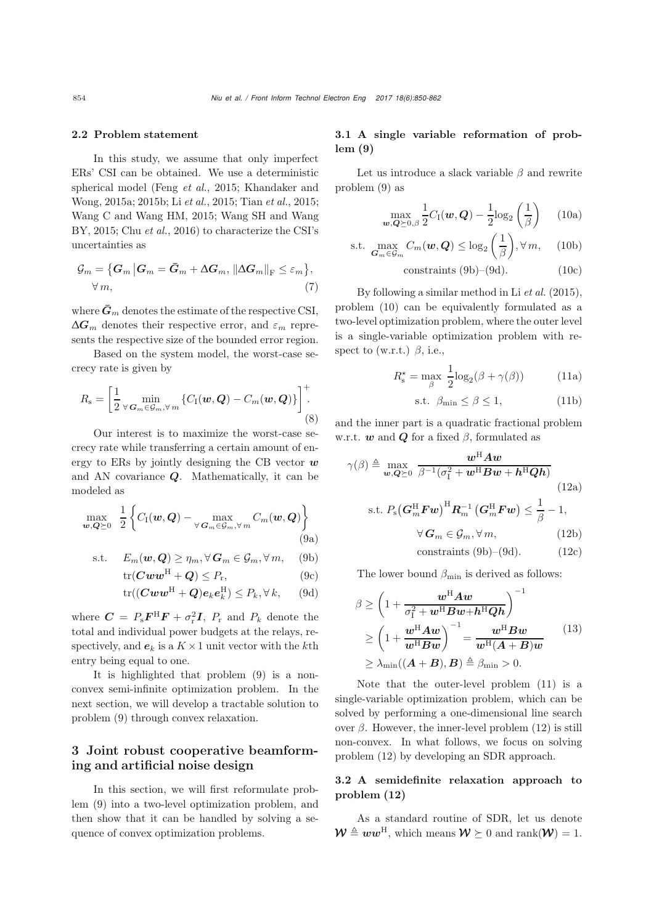#### 2.2 Problem statement

In this study, we assume that only imperfect ERs' CSI can be obtained. We use a deterministic spherical model (Feng *et al.*, 2015; Khandaker and Wong, 2015a; 2015b; Li *et al.*, 2015; Tian *et al.*, 2015; Wang C and Wang HM, 2015; Wang SH and Wang BY, 2015; Chu *et al.*, 2016) to characterize the CSI's uncertainties as

$$
\mathcal{G}_{m} = \{ \mathbf{G}_{m} | \mathbf{G}_{m} = \bar{\mathbf{G}}_{m} + \Delta \mathbf{G}_{m}, \left\| \Delta \mathbf{G}_{m} \right\|_{\mathrm{F}} \leq \varepsilon_{m} \},\
$$
  

$$
\forall m,
$$
 (7)

where  $\bar{G}_m$  denotes the estimate of the respective CSI,  $\Delta G_m$  denotes their respective error, and  $\varepsilon_m$  represents the respective size of the bounded error region.

Based on the system model, the worst-case secrecy rate is given by

$$
R_{\rm s} = \left[\frac{1}{2} \max_{\forall \mathbf{G}_m \in \mathcal{G}_m, \forall m} \left\{ C_{\rm I}(\mathbf{w}, \mathbf{Q}) - C_m(\mathbf{w}, \mathbf{Q}) \right\} \right]^{+}.
$$
\n(8)

Our interest is to maximize the worst-case secrecy rate while transferring a certain amount of energy to ERs by jointly designing the CB vector *w* and AN covariance *Q*. Mathematically, it can be modeled as

<span id="page-4-0"></span>
$$
\max_{\boldsymbol{w},\boldsymbol{Q}\succeq 0} \left| \frac{1}{2} \left\{ C_{\mathrm{I}}(\boldsymbol{w},\boldsymbol{Q}) - \max_{\forall \boldsymbol{G}_m \in \mathcal{G}_m, \forall m} C_m(\boldsymbol{w},\boldsymbol{Q}) \right\} \right|
$$
(9a)

$$
\text{s.t.} \quad E_m(\boldsymbol{w}, \boldsymbol{Q}) \ge \eta_m, \forall \, \boldsymbol{G}_m \in \mathcal{G}_m, \forall \, m, \quad \text{(9b)}
$$

$$
\text{tr}(\mathbf{C}\mathbf{w}\mathbf{w}^{\text{H}} + \mathbf{Q}) \le P_{\text{r}},\tag{9c}
$$

$$
\text{tr}((\mathbf{C} \mathbf{w} \mathbf{w}^{\text{H}} + \mathbf{Q})\mathbf{e}_{k}\mathbf{e}_{k}^{\text{H}}) \leq P_{k}, \forall k, \qquad (9d)
$$

where  $\mathbf{C} = P_{\rm s} \mathbf{F}^{\rm H} \mathbf{F} + \sigma_{\rm r}^2 \mathbf{I}$ ,  $P_{\rm r}$  and  $P_{\rm k}$  denote the total and individual power budgets at the relays, respectively, and  $e_k$  is a  $K \times 1$  unit vector with the kth entry being equal to one.

It is highlighted that problem [\(9\)](#page-4-0) is a nonconvex semi-infinite optimization problem. In the next section, we will develop a tractable solution to problem [\(9\)](#page-4-0) through convex relaxation.

## 3 Joint robust cooperative beamforming and artificial noise design

In this section, we will first reformulate problem [\(9\)](#page-4-0) into a two-level optimization problem, and then show that it can be handled by solving a sequence of convex optimization problems.

## 3.1 A single variable reformation of problem (9)

Let us introduce a slack variable  $\beta$  and rewrite problem [\(9\)](#page-4-0) as

<span id="page-4-3"></span>
$$
\max_{\boldsymbol{w}, \boldsymbol{Q} \succeq 0, \beta} \frac{1}{2} C_{\rm I}(\boldsymbol{w}, \boldsymbol{Q}) - \frac{1}{2} \log_2 \left(\frac{1}{\beta}\right) \qquad (10a)
$$

$$
\text{s.t. } \max_{\mathbf{G}_m \in \mathcal{G}_m} C_m(\mathbf{w}, \mathbf{Q}) \le \log_2\left(\frac{1}{\beta}\right), \forall m, \quad \text{(10b)}
$$

$$
constraints (9b)–(9d). \t(10c)
$$

By following a similar method in Li *[et al.](#page-10-18)* [\(2015\)](#page-10-18), problem [\(10\)](#page-4-3) can be equivalently formulated as a two-level optimization problem, where the outer level is a single-variable optimization problem with respect to (w.r.t.)  $\beta$ , i.e.,

<span id="page-4-4"></span>
$$
R_s^* = \max_{\beta} \frac{1}{2} \log_2(\beta + \gamma(\beta)) \tag{11a}
$$

<span id="page-4-6"></span><span id="page-4-5"></span>
$$
\text{s.t. } \beta_{\min} \le \beta \le 1,\tag{11b}
$$

and the inner part is a quadratic fractional problem w.r.t.  $w$  and  $Q$  for a fixed  $\beta$ , formulated as

$$
\gamma(\beta) \triangleq \max_{\mathbf{w}, \mathbf{Q} \succeq 0} \frac{\mathbf{w}^{\mathrm{H}} \mathbf{A} \mathbf{w}}{\beta^{-1} (\sigma_{\mathrm{I}}^{2} + \mathbf{w}^{\mathrm{H}} \mathbf{B} \mathbf{w} + \mathbf{h}^{\mathrm{H}} \mathbf{Q} \mathbf{h})}
$$
(12a)  
s.t.  $P_{\mathrm{s}} (\mathbf{G}_{m}^{\mathrm{H}} \mathbf{F} \mathbf{w})^{\mathrm{H}} \mathbf{R}_{m}^{-1} (\mathbf{G}_{m}^{\mathrm{H}} \mathbf{F} \mathbf{w}) \leq \frac{1}{\beta} - 1,$   

$$
\forall \mathbf{G}_{m} \in \mathcal{G}_{m}, \forall m,
$$
(12b)  
constraints (9b)–(9d). (12c)

<span id="page-4-1"></span>The lower bound  $\beta_{\min}$  is derived as follows:

<span id="page-4-2"></span>
$$
\beta \ge \left(1 + \frac{w^{H} A w}{\sigma_{1}^{2} + w^{H} B w + h^{H} Q h}\right)^{-1}
$$
\n
$$
\ge \left(1 + \frac{w^{H} A w}{w^{H} B w}\right)^{-1} = \frac{w^{H} B w}{w^{H} (A + B) w}
$$
\n
$$
\ge \lambda_{\min}((A + B), B) \triangleq \beta_{\min} > 0.
$$
\n(13)

Note that the outer-level problem [\(11\)](#page-4-4) is a single-variable optimization problem, which can be solved by performing a one-dimensional line search over β. However, the inner-level problem  $(12)$  is still non-convex. In what follows, we focus on solving problem [\(12\)](#page-4-5) by developing an SDR approach.

### 3.2 A semidefinite relaxation approach to problem (12)

As a standard routine of SDR, let us denote  $\mathcal{W} \triangleq \boldsymbol{w}\boldsymbol{w}^{\text{H}}$ , which means  $\mathcal{W} \succeq 0$  and rank $(\mathcal{W})=1$ .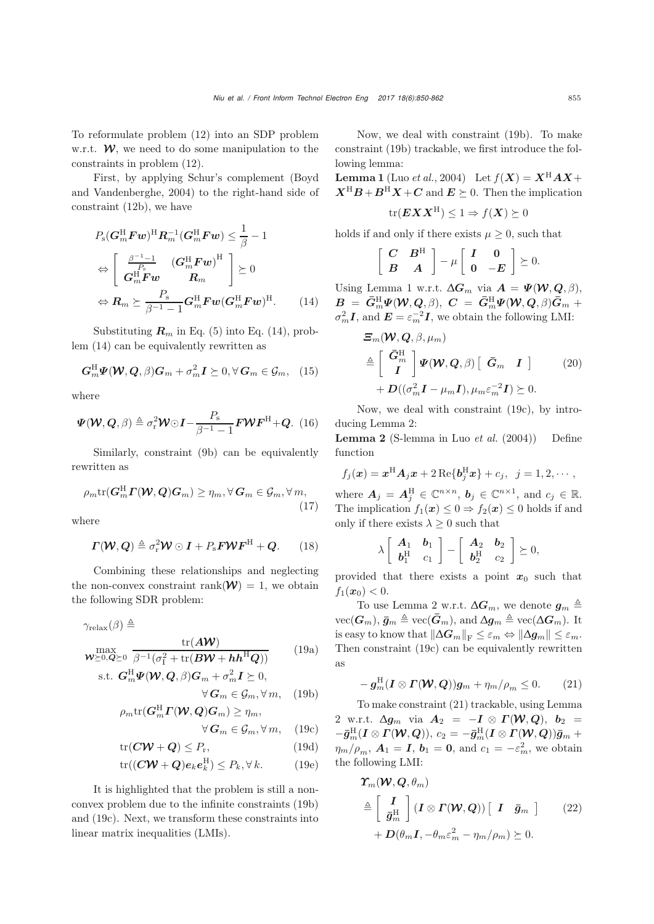To reformulate problem [\(12\)](#page-4-5) into an SDP problem w.r.t.  $W$ , we need to do some manipulation to the constraints in problem [\(12\)](#page-4-5).

First, by app[lying](#page-9-1) [Schur's](#page-9-1) [complement](#page-9-1) [\(](#page-9-1)Boyd and Vandenberghe, [2004\)](#page-9-1) to the right-hand side of constraint [\(12b\)](#page-4-6), we have

<span id="page-5-0"></span>
$$
P_{\rm s}(\boldsymbol{G}_{m}^{\rm H}\boldsymbol{F}\boldsymbol{w})^{\rm H}\boldsymbol{R}_{m}^{-1}(\boldsymbol{G}_{m}^{\rm H}\boldsymbol{F}\boldsymbol{w}) \leq \frac{1}{\beta} - 1
$$
  
\n
$$
\Leftrightarrow \begin{bmatrix} \frac{\beta^{-1}-1}{P_{\rm s}} & (\boldsymbol{G}_{m}^{\rm H}\boldsymbol{F}\boldsymbol{w})^{\rm H} \\ \boldsymbol{G}_{m}^{\rm H}\boldsymbol{F}\boldsymbol{w} & \boldsymbol{R}_{m} \end{bmatrix} \succeq 0
$$
  
\n
$$
\Leftrightarrow \boldsymbol{R}_{m} \succeq \frac{P_{\rm s}}{\beta^{-1}-1} \boldsymbol{G}_{m}^{\rm H}\boldsymbol{F}\boldsymbol{w}(\boldsymbol{G}_{m}^{\rm H}\boldsymbol{F}\boldsymbol{w})^{\rm H}.
$$
 (14)

Substituting  $\mathbf{R}_m$  in Eq. [\(5\)](#page-3-0) into Eq. [\(14\)](#page-5-0), problem [\(14\)](#page-5-0) can be equivalently rewritten as

$$
G_m^{\rm H} \Psi(W, Q, \beta) G_m + \sigma_m^2 I \succeq 0, \forall G_m \in \mathcal{G}_m, \quad (15)
$$

where

$$
\Psi(\mathcal{W}, Q, \beta) \triangleq \sigma_r^2 \mathcal{W} \odot I - \frac{P_s}{\beta^{-1} - 1} \mathbf{F} \mathcal{W} \mathbf{F}^{\mathrm{H}} + Q. (16)
$$

Similarly, constraint [\(9b\)](#page-4-1) can be equivalently rewritten as

$$
\rho_m \text{tr}(\boldsymbol{G}_m^{\text{H}} \boldsymbol{\varGamma}(\boldsymbol{\mathcal{W}}, \boldsymbol{Q}) \boldsymbol{G}_m) \ge \eta_m, \forall \boldsymbol{G}_m \in \mathcal{G}_m, \forall m,
$$
\n(17)

where

$$
\boldsymbol{\Gamma}(\boldsymbol{\mathcal{W}},\boldsymbol{Q})\triangleq\sigma_{\mathrm{r}}^2\boldsymbol{\mathcal{W}}\odot\boldsymbol{I}+P_{\mathrm{s}}\boldsymbol{F}\boldsymbol{\mathcal{W}}\boldsymbol{F}^{\mathrm{H}}+\boldsymbol{Q}.\qquad(18)
$$

Combining these relationships and neglecting the non-convex constraint rank $(\mathcal{W})=1$ , we obtain the following SDR problem:

$$
\gamma_{\rm relax}(\beta) \triangleq
$$

$$
\max_{\mathbf{W} \succeq 0, \mathbf{Q} \succeq 0} \frac{\text{tr}(\mathbf{A}\mathbf{W})}{\beta^{-1}(\sigma_1^2 + \text{tr}(\mathbf{B}\mathbf{W} + \mathbf{h}\mathbf{h}^{\text{H}}\mathbf{Q}))}
$$
(19a)

s.t. 
$$
G_m^H \Psi(W, Q, \beta) G_m + \sigma_m^2 I \succeq 0
$$
,  
\n
$$
\forall G_m \in \mathcal{G}_m, \forall m, \quad (19b)
$$

$$
\rho_m {\rm tr}(\boldsymbol{G}_m^{\rm H}\boldsymbol{\varGamma}(\boldsymbol{\mathcal{W}},\boldsymbol{Q})\boldsymbol{G}_m)\geq \eta_m,
$$

$$
\forall \mathbf{G}_m \in \mathcal{G}_m, \forall m, \quad (19c)
$$

$$
\text{tr}(\mathbf{CW} + \mathbf{Q}) \le P_r,\tag{19d}
$$

$$
\text{tr}((C\mathbf{W} + Q)e_k e_k^{\text{H}}) \le P_k, \forall k. \tag{19e}
$$

It is highlighted that the problem is still a nonconvex problem due to the infinite constraints [\(19b\)](#page-5-1) and [\(19c\)](#page-5-2). Next, we transform these constraints into linear matrix inequalities (LMIs).

Now, we deal with constraint [\(19b\)](#page-5-1). To make constraint [\(19b\)](#page-5-1) trackable, we first introduce the following lemma:

**Lemma 1** (Luo *[et al.](#page-10-26)*, [2004](#page-10-26)) Let  $f(X) = X^H A X +$  $X^{\text{H}}B + B^{\text{H}}X + C$  and  $E \succeq 0$ . Then the implication

$$
\text{tr}(\boldsymbol{E}\boldsymbol{X}\boldsymbol{X}^{\text{H}}) \leq 1 \Rightarrow f(\boldsymbol{X}) \succeq 0
$$

holds if and only if there exists  $\mu \geq 0$ , such that

$$
\left[\begin{array}{cc} C & B^{\mathrm{H}} \\ B & A \end{array}\right] - \mu \left[\begin{array}{cc} I & 0 \\ 0 & -E \end{array}\right] \succeq 0.
$$

Using Lemma 1 w.r.t.  $\Delta G_m$  via  $A = \Psi(\mathcal{W}, Q, \beta),$  $B = \bar{G}_{m}^{H} \Psi(\mathcal{W}, Q, \beta), \ C = \bar{G}_{m}^{H} \Psi(\mathcal{W}, Q, \beta) \bar{G}_{m} +$ <br> $\sigma^{2} I_{\text{odd}} F = \sigma^{2} I_{\text{even}}$  and  $\sigma^{2} I_{\text{even}}$  $\sigma_m^2 I$ , and  $E = \varepsilon_m^{-2} I$ , we obtain the following LMI:

$$
\mathcal{E}_m(\mathcal{W}, Q, \beta, \mu_m)
$$
\n
$$
\triangleq \begin{bmatrix} \bar{G}_m^H \\ I \end{bmatrix} \Psi(\mathcal{W}, Q, \beta) \begin{bmatrix} \bar{G}_m & I \end{bmatrix} \qquad (20)
$$
\n
$$
+ D((\sigma_m^2 I - \mu_m I), \mu_m \varepsilon_m^{-2} I) \succeq 0.
$$

Now, we deal with constraint [\(19c\)](#page-5-2), by introducing Lemma 2:

Lemma 2 (S-lemma in Luo *[et al.](#page-10-26)* [\(2004](#page-10-26))) Define function

$$
f_j(\boldsymbol{x}) = \boldsymbol{x}^{\mathrm{H}} \boldsymbol{A}_j \boldsymbol{x} + 2 \operatorname{Re} \{ \boldsymbol{b}_j^{\mathrm{H}} \boldsymbol{x} \} + c_j, \ \ j = 1, 2, \cdots,
$$

where  $A_j = A_j^H \in \mathbb{C}^{n \times n}$ ,  $b_j \in \mathbb{C}^{n \times 1}$ , and  $c_j \in \mathbb{R}$ .<br>The implication  $f(x) < 0 \to f(x) < 0$  holds if and The implication  $f_1(\mathbf{x}) \leq 0 \Rightarrow f_2(\mathbf{x}) \leq 0$  holds if and only if there exists  $\lambda \geq 0$  such that

$$
\lambda \left[\begin{array}{cc} \mathbf{A}_1 & \mathbf{b}_1 \\ \mathbf{b}_1^{\mathrm{H}} & c_1 \end{array}\right] - \left[\begin{array}{cc} \mathbf{A}_2 & \mathbf{b}_2 \\ \mathbf{b}_2^{\mathrm{H}} & c_2 \end{array}\right] \succeq 0,
$$

provided that there exists a point  $x_0$  such that  $f_1(x_0) < 0.$ 

To use Lemma 2 w.r.t.  $\Delta G_m$ , we denote  $g_m \triangleq$  $vec(G_m)$ ,  $\bar{g}_m \triangleq \text{vec}(\bar{G}_m)$ , and  $\Delta g_m \triangleq \text{vec}(\Delta G_m)$ . It is easy to know that  $\|\Delta G_m\|_{\rm F}\leq \varepsilon_m \Leftrightarrow \|\Delta g_m\|\leq \varepsilon_m$ . Then constraint [\(19c\)](#page-5-2) can be equivalently rewritten as

<span id="page-5-3"></span>
$$
-g_m^{\mathrm{H}}(\mathbf{I}\otimes\mathbf{\Gamma}(\mathbf{\mathcal{W}},\mathbf{Q}))g_m+\eta_m/\rho_m\leq 0. \qquad(21)
$$

<span id="page-5-2"></span><span id="page-5-1"></span>To make constraint [\(21\)](#page-5-3) trackable, using Lemma 2 w.r.t.  $\Delta g_m$  via  $A_2 = -I \otimes \Gamma(\mathcal{W}, Q)$ ,  $b_2 =$  $-\bar{g}_{m}^{\text{H}}(I \otimes I(W, Q)),$   $c_{2} = -\bar{g}_{m}^{\text{H}}(I \otimes I(W, Q))\bar{g}_{m} +$  $\eta_m / \rho_m$ ,  $\mathbf{A}_1 = \mathbf{I}$ ,  $\mathbf{b}_1 = \mathbf{0}$ , and  $c_1 = -\varepsilon_m^2$ , we obtain the following LMI:

$$
\mathbf{\Upsilon}_{m}(\mathbf{W}, \mathbf{Q}, \theta_{m})
$$
\n
$$
\triangleq \begin{bmatrix} I \\ \bar{g}_{m}^{H} \end{bmatrix} (\mathbf{I} \otimes \mathbf{\Gamma}(\mathbf{W}, \mathbf{Q})) [\mathbf{I} \quad \bar{g}_{m}]
$$
\n
$$
+ \mathbf{D}(\theta_{m}\mathbf{I}, -\theta_{m}\varepsilon_{m}^{2} - \eta_{m}/\rho_{m}) \succeq 0.
$$
\n(22)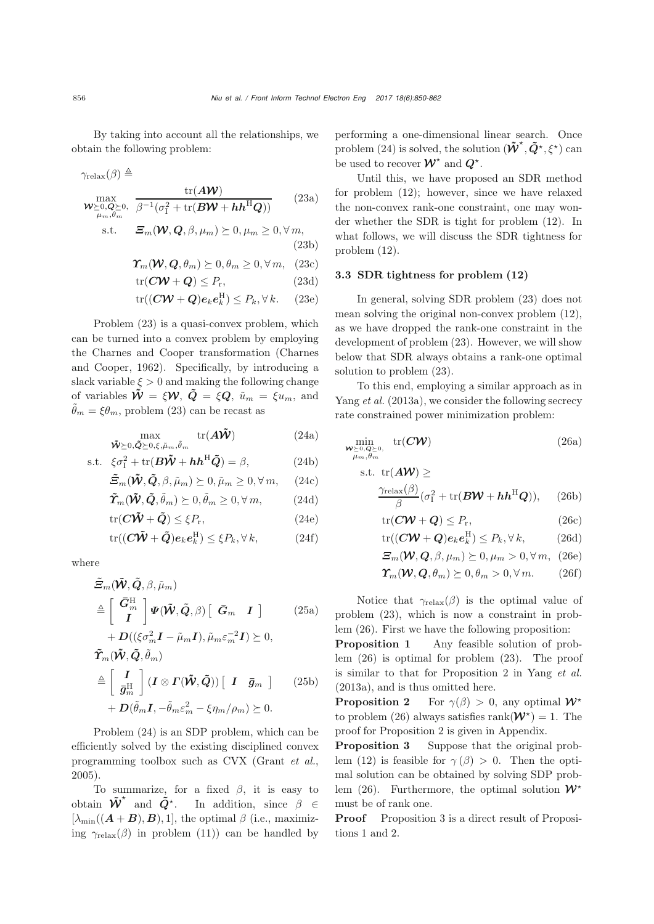By taking into account all the relationships, we obtain the following problem:

$$
\gamma_{\text{relax}}(\beta) \triangleq \frac{\text{tr}(A\mathcal{W})}{\mathcal{W}_{\geq 0, \mathbf{Q} \geq 0, \beta} \overline{\beta^{-1}(\sigma_1^2 + \text{tr}(B\mathcal{W} + h\mathbf{h}^{\text{H}}\mathbf{Q}))}} \qquad (23a)
$$

$$
\text{s.t.} \qquad \Xi_m(\mathcal{W}, \mathcal{Q}, \beta, \mu_m) \succeq 0, \mu_m \ge 0, \forall m,
$$
\n
$$
(23b)
$$

$$
\boldsymbol{\Upsilon}_m(\boldsymbol{W}, \boldsymbol{Q}, \theta_m) \succeq 0, \theta_m \ge 0, \forall m, \quad (23c)
$$

$$
\text{tr}(\mathbf{C}\mathbf{W} + \mathbf{Q}) \le P_{\text{r}},\tag{23d}
$$

$$
\text{tr}((C\mathbf{W} + Q)e_k \mathbf{e}_k^{\text{H}}) \le P_k, \forall k. \quad (23e)
$$

Problem [\(23\)](#page-6-0) is a quasi-convex problem, which can be turned into a convex problem by employing the Charne[s](#page-10-27) [and](#page-10-27) [Cooper](#page-10-27) [transformation](#page-10-27) [\(](#page-10-27)Charnes and Cooper, [1962\)](#page-10-27). Specifically, by introducing a slack variable  $\xi > 0$  and making the following change of variables  $\tilde{\mathbf{W}} = \xi \mathbf{W}$ ,  $\tilde{\mathbf{Q}} = \xi \mathbf{Q}$ ,  $\tilde{u}_m = \xi u_m$ , and  $\tilde{\theta}_m = \xi \theta_m$ , problem [\(23\)](#page-6-0) can be recast as

$$
\max_{\tilde{\boldsymbol{\mathcal{W}}} \succeq 0, \tilde{\boldsymbol{Q}} \succeq 0, \xi, \tilde{\mu}_m, \tilde{\theta}_m} \text{tr}(\boldsymbol{A}\tilde{\boldsymbol{\mathcal{W}}})
$$
(24a)

s.t. 
$$
\xi \sigma_{\text{I}}^2 + \text{tr}(\boldsymbol{B}\tilde{\boldsymbol{W}} + \boldsymbol{h}\boldsymbol{h}^{\text{H}}\tilde{\boldsymbol{Q}}) = \beta,
$$
 (24b)

$$
\tilde{\Xi}_m(\tilde{\mathbf{W}}, \tilde{\mathbf{Q}}, \beta, \tilde{\mu}_m) \succeq 0, \tilde{\mu}_m \ge 0, \forall m, \quad (24c)
$$

$$
\tilde{\boldsymbol{T}}_m(\tilde{\boldsymbol{W}}, \tilde{\boldsymbol{Q}}, \tilde{\theta}_m) \succeq 0, \tilde{\theta}_m \ge 0, \forall m,
$$
\n(24d)

$$
\text{tr}(\mathbf{C}\tilde{\mathbf{W}}+\tilde{\mathbf{Q}}) \leq \xi P_{\text{r}},\tag{24e}
$$

$$
\text{tr}((C\tilde{\mathbf{W}}+\tilde{\mathbf{Q}})\mathbf{e}_k\mathbf{e}_k^{\text{H}}) \leq \xi P_k, \forall k,
$$
 (24f)

where

$$
\tilde{\Xi}_{m}(\tilde{\mathbf{W}}, \tilde{\mathbf{Q}}, \beta, \tilde{\mu}_{m})
$$
\n
$$
\triangleq \left[ \begin{array}{c} \bar{G}_{m}^{H} \\ I \end{array} \right] \Psi(\tilde{\mathbf{W}}, \tilde{\mathbf{Q}}, \beta) \left[ \begin{array}{cc} \bar{G}_{m} & I \end{array} \right] \qquad (25a)
$$

$$
+ D((\xi \sigma_m^2 \mathbf{I} - \tilde{\mu}_m \mathbf{I}), \tilde{\mu}_m \varepsilon_m^{-2} \mathbf{I}) \succeq 0,
$$
  

$$
\tilde{\mathbf{\Gamma}}_m(\tilde{\mathbf{W}}, \tilde{\mathbf{Q}}, \tilde{\theta}_m)
$$
  

$$
\triangleq \begin{bmatrix} \mathbf{I} \\ \bar{g}_m^{\mathrm{H}} \end{bmatrix} (\mathbf{I} \otimes \mathbf{\Gamma}(\tilde{\mathbf{W}}, \tilde{\mathbf{Q}})) [\mathbf{I} \quad \bar{g}_m ]
$$
 (25b)  

$$
+ D(\tilde{\theta}_m \mathbf{I}, -\tilde{\theta}_m \varepsilon_m^2 - \xi \eta_m / \rho_m) \succeq 0.
$$

Problem [\(24\)](#page-6-1) is an SDP problem, which can be efficiently solved by the existing disciplined convex programming toolbox such as CVX [\(Grant](#page-10-28) *et al.*, [2005](#page-10-28)).

To summarize, for a fixed  $\beta$ , it is easy to obtain  $\tilde{\mathbf{W}}^*$  and  $\tilde{\mathbf{Q}}^*$ . In addition, since  $\beta \in$  $[\lambda_{\min}((\mathbf{A}+\mathbf{B}), \mathbf{B}), 1]$ , the optimal  $\beta$  (i.e., maximizing  $\gamma_{relax}(\beta)$  in problem [\(11\)](#page-4-4)) can be handled by <span id="page-6-0"></span>performing a one-dimensional linear search. Once problem [\(24\)](#page-6-1) is solved, the solution  $(\tilde{\mathbf{W}}^*, \tilde{\mathbf{Q}}^*, \xi^*)$  can be used to recover  $W^*$  and  $Q^*$ .

Until this, we have proposed an SDR method for problem [\(12\)](#page-4-5); however, since we have relaxed the non-convex rank-one constraint, one may wonder whether the SDR is tight for problem [\(12\)](#page-4-5). In what follows, we will discuss the SDR tightness for problem [\(12\)](#page-4-5).

#### 3.3 SDR tightness for problem (12)

In general, solving SDR problem [\(23\)](#page-6-0) does not mean solving the original non-convex problem [\(12\)](#page-4-5), as we have dropped the rank-one constraint in the development of problem [\(23\)](#page-6-0). However, we will show below that SDR always obtains a rank-one optimal solution to problem [\(23\)](#page-6-0).

<span id="page-6-1"></span>To this end, employing a similar approach as in [Yang](#page-11-4) *et al.* [\(2013a\)](#page-11-4), we consider the following secrecy rate constrained power minimization problem:

$$
\min_{\substack{\mathbf{W}\succeq 0,\mathbf{Q}\succeq 0,\\ \mu_m,\theta_m}} \operatorname{tr}(\mathbf{C}\mathbf{W})\tag{26a}
$$

s.t. 
$$
tr(AW) \ge
$$
  
\n
$$
\frac{\gamma_{relax}(\beta)}{\beta} (\sigma_1^2 + tr(BW + hh^HQ)),
$$
\n(26b)

<span id="page-6-3"></span><span id="page-6-2"></span>
$$
\text{tr}(\mathbf{C}\mathbf{W} + \mathbf{Q}) \le P_r,\tag{26c}
$$

$$
\operatorname{tr}((C\mathbf{W} + Q)e_k e_k^{\mathrm{H}}) \le P_k, \forall k,
$$
\n(26d)

<span id="page-6-4"></span>
$$
\Xi_m(\mathbf{W}, \mathbf{Q}, \beta, \mu_m) \succeq 0, \mu_m > 0, \forall m, (26e)
$$

$$
\Upsilon_m(\mathbf{W}, \mathbf{Q}, \theta_m) \succeq 0, \theta_m > 0, \forall m. \tag{26f}
$$

Notice that  $\gamma_{relax}(\beta)$  is the optimal value of problem [\(23\)](#page-6-0), which is now a constraint in problem [\(26\)](#page-6-2). First we have the following proposition:

Proposition 1 Any feasible solution of problem [\(26\)](#page-6-2) is optimal for problem [\(23\)](#page-6-0). The proof is similar to that for Proposition 2 in [Yang](#page-11-4) *et al.* [\(2013a](#page-11-4)), and is thus omitted here.

**Proposition 2** For  $\gamma(\beta) > 0$ , any optimal  $W^*$ to problem [\(26\)](#page-6-2) always satisfies rank $(\mathcal{W}^*)=1$ . The proof for Proposition 2 is given in Appendix.

Proposition 3 Suppose that the original prob-lem [\(12\)](#page-4-5) is feasible for  $\gamma(\beta) > 0$ . Then the optimal solution can be obtained by solving SDP prob-lem [\(26\)](#page-6-2). Furthermore, the optimal solution  $W^*$ must be of rank one.

**Proof** Proposition 3 is a direct result of Propositions 1 and 2.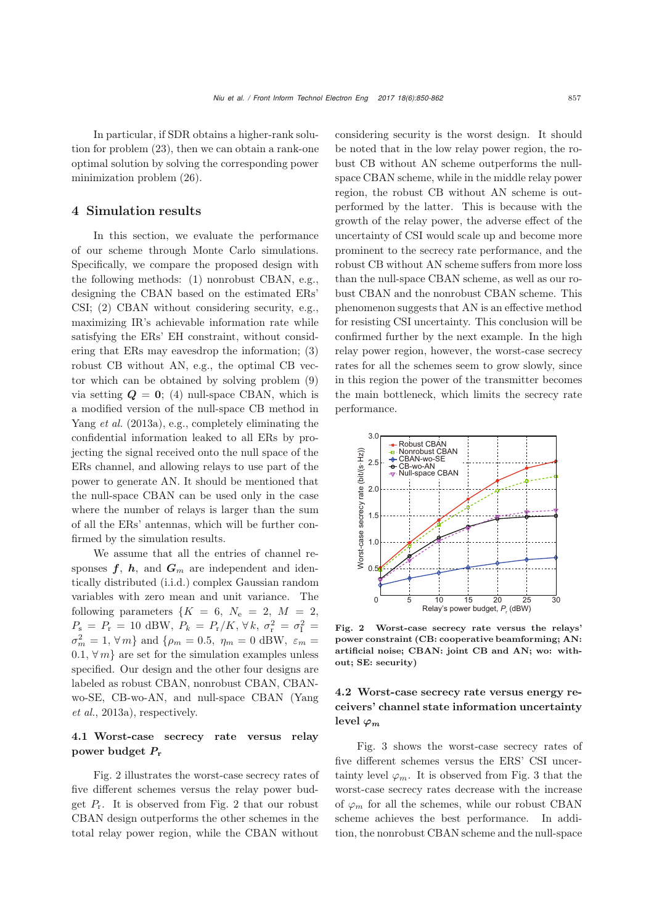In particular, if SDR obtains a higher-rank solution for problem [\(23\)](#page-6-0), then we can obtain a rank-one optimal solution by solving the corresponding power minimization problem [\(26\)](#page-6-2).

#### 4 Simulation results

In this section, we evaluate the performance of our scheme through Monte Carlo simulations. Specifically, we compare the proposed design with the following methods: (1) nonrobust CBAN, e.g., designing the CBAN based on the estimated ERs' CSI; (2) CBAN without considering security, e.g., maximizing IR's achievable information rate while satisfying the ERs' EH constraint, without considering that ERs may eavesdrop the information; (3) robust CB without AN, e.g., the optimal CB vector which can be obtained by solving problem [\(9\)](#page-4-0) via setting  $Q = 0$ ; (4) null-space CBAN, which is a modified version of the null-space CB method in [Yang](#page-11-4) *et al.* [\(2013a](#page-11-4)), e.g., completely eliminating the confidential information leaked to all ERs by projecting the signal received onto the null space of the ERs channel, and allowing relays to use part of the power to generate AN. It should be mentioned that the null-space CBAN can be used only in the case where the number of relays is larger than the sum of all the ERs' antennas, which will be further confirmed by the simulation results.

We assume that all the entries of channel responses  $f, h$ , and  $G_m$  are independent and identically distributed (i.i.d.) complex Gaussian random variables with zero mean and unit variance. The following parameters  $\{K = 6, N_e = 2, M = 2,$  $P_{\rm s} = P_{\rm r} = 10$  dBW,  $P_k = P_{\rm r}/K$ ,  $\forall k, \sigma_{\rm r}^2 = \sigma_{\rm l}^2 =$  $\sigma_m^2 = 1, \forall m$ } and  $\{\rho_m = 0.5, \eta_m = 0 \text{ dBW}, \varepsilon_m =$ 0.1,  $\forall m$  are set for the simulation examples unless specified. Our design and the other four designs are labeled as robust CBAN, nonrobust CBAN, CBANwo-S[E,](#page-11-4) [CB-wo-AN,](#page-11-4) [and](#page-11-4) [null-space](#page-11-4) [CBAN](#page-11-4) [\(](#page-11-4)Yang *et al.*, [2013a\)](#page-11-4), respectively.

## 4.1 Worst-case secrecy rate versus relay power budget *P*<sup>r</sup>

Fig. 2 illustrates the worst-case secrecy rates of five different schemes versus the relay power budget  $P_r$ . It is observed from Fig. 2 that our robust CBAN design outperforms the other schemes in the total relay power region, while the CBAN without

considering security is the worst design. It should be noted that in the low relay power region, the robust CB without AN scheme outperforms the nullspace CBAN scheme, while in the middle relay power region, the robust CB without AN scheme is outperformed by the latter. This is because with the growth of the relay power, the adverse effect of the uncertainty of CSI would scale up and become more prominent to the secrecy rate performance, and the robust CB without AN scheme suffers from more loss than the null-space CBAN scheme, as well as our robust CBAN and the nonrobust CBAN scheme. This phenomenon suggests that AN is an effective method for resisting CSI uncertainty. This conclusion will be confirmed further by the next example. In the high relay power region, however, the worst-case secrecy rates for all the schemes seem to grow slowly, since in this region the power of the transmitter becomes the main bottleneck, which limits the secrecy rate performance.



Fig. 2 Worst-case secrecy rate versus the relays' power constraint (CB: cooperative beamforming; AN: artificial noise; CBAN: joint CB and AN; wo: without; SE: security)

## 4.2 Worst-case secrecy rate versus energy receivers' channel state information uncertainty level  $\varphi_m$

Fig. 3 shows the worst-case secrecy rates of five different schemes versus the ERS' CSI uncertainty level  $\varphi_m$ . It is observed from Fig. 3 that the worst-case secrecy rates decrease with the increase of  $\varphi_m$  for all the schemes, while our robust CBAN scheme achieves the best performance. In addition, the nonrobust CBAN scheme and the null-space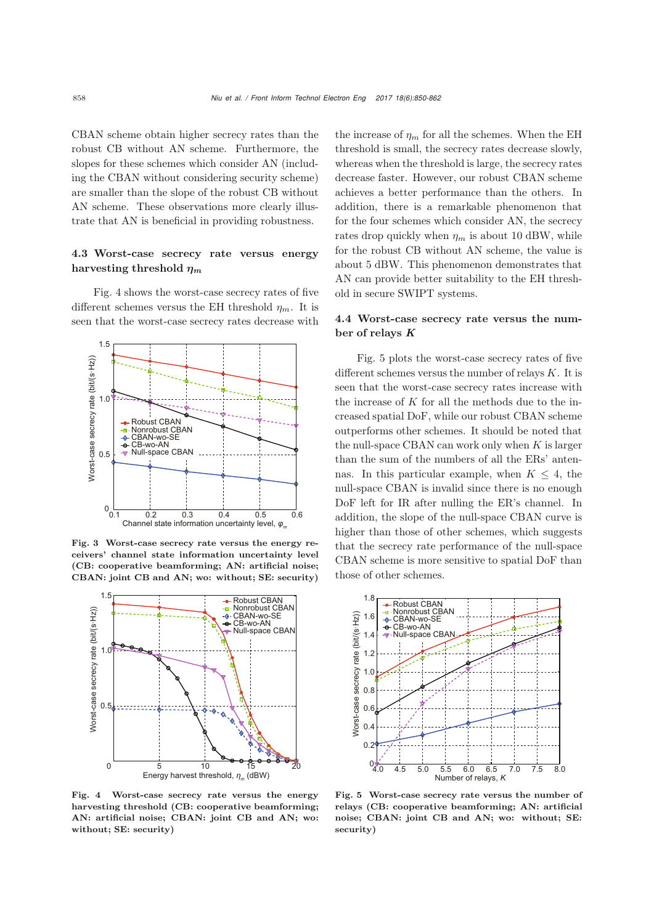CBAN scheme obtain higher secrecy rates than the robust CB without AN scheme. Furthermore, the slopes for these schemes which consider AN (including the CBAN without considering security scheme) are smaller than the slope of the robust CB without AN scheme. These observations more clearly illustrate that AN is beneficial in providing robustness.

#### 4.3 Worst-case secrecy rate versus energy harvesting threshold *<sup>η</sup><sup>m</sup>*

Fig. 4 shows the worst-case secrecy rates of five different schemes versus the EH threshold  $\eta_m$ . It is seen that the worst-case secrecy rates decrease with



Fig. 3 Worst-case secrecy rate versus the energy receivers' channel state information uncertainty level (CB: cooperative beamforming; AN: artificial noise; CBAN: joint CB and AN; wo: without; SE: security)



Fig. 4 Worst-case secrecy rate versus the energy harvesting threshold (CB: cooperative beamforming; AN: artificial noise; CBAN: joint CB and AN; wo: without; SE: security)

the increase of  $\eta_m$  for all the schemes. When the EH threshold is small, the secrecy rates decrease slowly, whereas when the threshold is large, the secrecy rates decrease faster. However, our robust CBAN scheme achieves a better performance than the others. In addition, there is a remarkable phenomenon that for the four schemes which consider AN, the secrecy rates drop quickly when  $\eta_m$  is about 10 dBW, while for the robust CB without AN scheme, the value is about 5 dBW. This phenomenon demonstrates that AN can provide better suitability to the EH threshold in secure SWIPT systems.

#### 4.4 Worst-case secrecy rate versus the number of relays *K*

Fig. 5 plots the worst-case secrecy rates of five different schemes versus the number of relays  $K$ . It is seen that the worst-case secrecy rates increase with the increase of  $K$  for all the methods due to the increased spatial DoF, while our robust CBAN scheme outperforms other schemes. It should be noted that the null-space CBAN can work only when  $K$  is larger than the sum of the numbers of all the ERs' antennas. In this particular example, when  $K \leq 4$ , the null-space CBAN is invalid since there is no enough DoF left for IR after nulling the ER's channel. In addition, the slope of the null-space CBAN curve is higher than those of other schemes, which suggests that the secrecy rate performance of the null-space CBAN scheme is more sensitive to spatial DoF than those of other schemes.



Fig. 5 Worst-case secrecy rate versus the number of relays (CB: cooperative beamforming; AN: artificial noise; CBAN: joint CB and AN; wo: without; SE: security)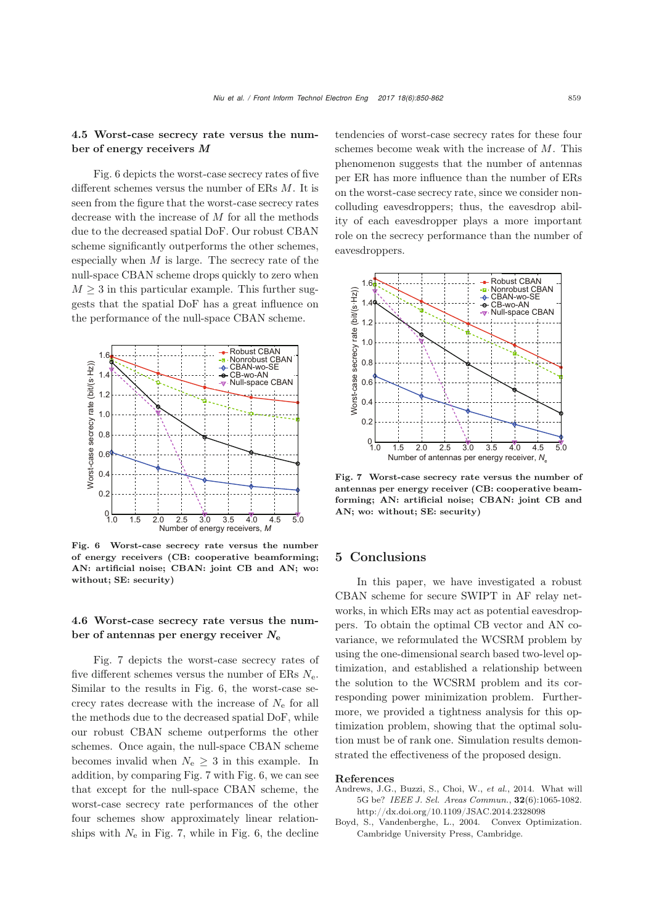#### 4.5 Worst-case secrecy rate versus the number of energy receivers *M*

Fig. 6 depicts the worst-case secrecy rates of five different schemes versus the number of ERs M. It is seen from the figure that the worst-case secrecy rates decrease with the increase of  $M$  for all the methods due to the decreased spatial DoF. Our robust CBAN scheme significantly outperforms the other schemes, especially when  $M$  is large. The secrecy rate of the null-space CBAN scheme drops quickly to zero when  $M \geq 3$  in this particular example. This further suggests that the spatial DoF has a great influence on the performance of the null-space CBAN scheme.



Fig. 6 Worst-case secrecy rate versus the number of energy receivers (CB: cooperative beamforming; AN: artificial noise; CBAN: joint CB and AN; wo: without; SE: security)

#### 4.6 Worst-case secrecy rate versus the number of antennas per energy receiver *N*<sup>e</sup>

Fig. 7 depicts the worst-case secrecy rates of five different schemes versus the number of ERs  $N_e$ . Similar to the results in Fig. 6, the worst-case secrecy rates decrease with the increase of  $N_{\rm e}$  for all the methods due to the decreased spatial DoF, while our robust CBAN scheme outperforms the other schemes. Once again, the null-space CBAN scheme becomes invalid when  $N_e \geq 3$  in this example. In addition, by comparing Fig. 7 with Fig. 6, we can see that except for the null-space CBAN scheme, the worst-case secrecy rate performances of the other four schemes show approximately linear relationships with  $N_e$  in Fig. 7, while in Fig. 6, the decline

tendencies of worst-case secrecy rates for these four schemes become weak with the increase of M. This phenomenon suggests that the number of antennas per ER has more influence than the number of ERs on the worst-case secrecy rate, since we consider noncolluding eavesdroppers; thus, the eavesdrop ability of each eavesdropper plays a more important role on the secrecy performance than the number of eavesdroppers.



Fig. 7 Worst-case secrecy rate versus the number of antennas per energy receiver (CB: cooperative beamforming; AN: artificial noise; CBAN: joint CB and AN; wo: without; SE: security)

#### 5 Conclusions

In this paper, we have investigated a robust CBAN scheme for secure SWIPT in AF relay networks, in which ERs may act as potential eavesdroppers. To obtain the optimal CB vector and AN covariance, we reformulated the WCSRM problem by using the one-dimensional search based two-level optimization, and established a relationship between the solution to the WCSRM problem and its corresponding power minimization problem. Furthermore, we provided a tightness analysis for this optimization problem, showing that the optimal solution must be of rank one. Simulation results demonstrated the effectiveness of the proposed design.

#### References

- <span id="page-9-0"></span>Andrews, J.G., Buzzi, S., Choi, W., *et al.*, 2014. What will 5G be? *IEEE J. Sel. Areas Commun.*, 32(6):1065-1082. http://dx.doi.org/10.1109/JSAC.2014.2328098
- <span id="page-9-1"></span>Boyd, S., Vandenberghe, L., 2004. Convex Optimization. Cambridge University Press, Cambridge.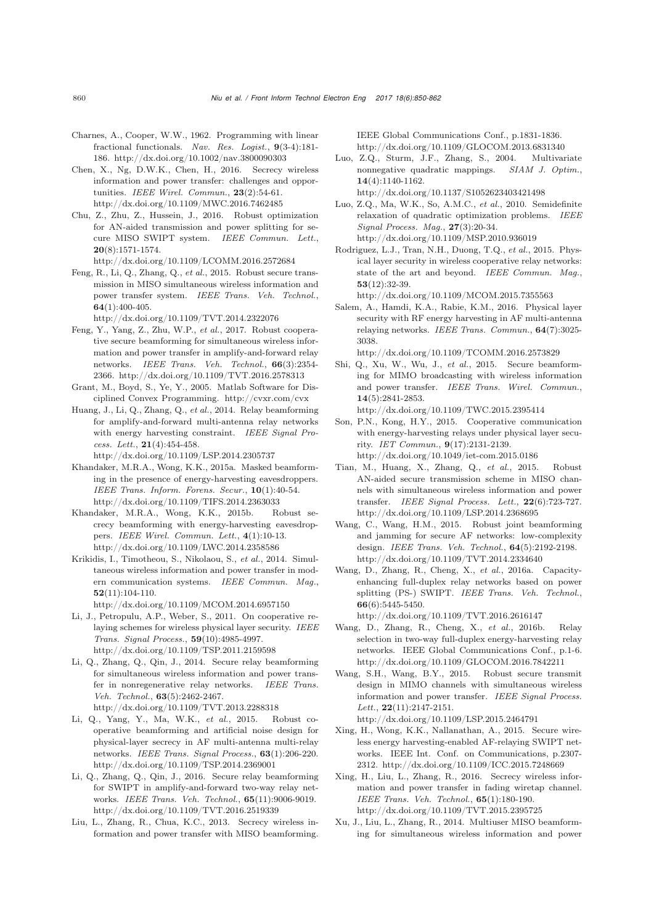- <span id="page-10-27"></span>Charnes, A., Cooper, W.W., 1962. Programming with linear fractional functionals. *Nav. Res. Logist.*, 9(3-4):181- 186. http://dx.doi.org/10.1002/nav.3800090303
- <span id="page-10-5"></span>Chen, X., Ng, D.W.K., Chen, H., 2016. Secrecy wireless information and power transfer: challenges and opportunities. *IEEE Wirel. Commun.*, 23(2):54-61. http://dx.doi.org/10.1109/MWC.2016.7462485
- <span id="page-10-13"></span>Chu, Z., Zhu, Z., Hussein, J., 2016. Robust optimization for AN-aided transmission and power splitting for secure MISO SWIPT system. *IEEE Commun. Lett.*, 20(8):1571-1574. http://dx.doi.org/10.1109/LCOMM.2016.2572684
- <span id="page-10-10"></span>Feng, R., Li, Q., Zhang, Q., *et al.*, 2015. Robust secure transmission in MISO simultaneous wireless information and power transfer system. *IEEE Trans. Veh. Technol.*, 64(1):400-405.

http://dx.doi.org/10.1109/TVT.2014.2322076

- <span id="page-10-24"></span>Feng, Y., Yang, Z., Zhu, W.P., *et al.*, 2017. Robust cooperative secure beamforming for simultaneous wireless information and power transfer in amplify-and-forward relay networks. *IEEE Trans. Veh. Technol.*, 66(3):2354- 2366. http://dx.doi.org/10.1109/TVT.2016.2578313
- <span id="page-10-28"></span>Grant, M., Boyd, S., Ye, Y., 2005. Matlab Software for Disciplined Convex Programming. http://cvxr.com/cvx
- <span id="page-10-2"></span>Huang, J., Li, Q., Zhang, Q., *et al.*, 2014. Relay beamforming for amplify-and-forward multi-antenna relay networks with energy harvesting constraint. *IEEE Signal Process. Lett.*, 21(4):454-458.

http://dx.doi.org/10.1109/LSP.2014.2305737

- <span id="page-10-12"></span>Khandaker, M.R.A., Wong, K.K., 2015a. Masked beamforming in the presence of energy-harvesting eavesdroppers. *IEEE Trans. Inform. Forens. Secur.*, 10(1):40-54. http://dx.doi.org/10.1109/TIFS.2014.2363033
- <span id="page-10-11"></span>Khandaker, M.R.A., Wong, K.K., 2015b. Robust secrecy beamforming with energy-harvesting eavesdroppers. *IEEE Wirel. Commun. Lett.*, 4(1):10-13. http://dx.doi.org/10.1109/LWC.2014.2358586
- <span id="page-10-0"></span>Krikidis, I., Timotheou, S., Nikolaou, S., *et al.*, 2014. Simultaneous wireless information and power transfer in modern communication systems. *IEEE Commun. Mag.*, 52(11):104-110.
	- http://dx.doi.org/10.1109/MCOM.2014.6957150
- <span id="page-10-16"></span>Li, J., Petropulu, A.P., Weber, S., 2011. On cooperative relaying schemes for wireless physical layer security. *IEEE Trans. Signal Process.*, 59(10):4985-4997. http://dx.doi.org/10.1109/TSP.2011.2159598
- <span id="page-10-19"></span>Li, Q., Zhang, Q., Qin, J., 2014. Secure relay beamforming for simultaneous wireless information and power transfer in nonregenerative relay networks. *IEEE Trans. Veh. Technol.*, 63(5):2462-2467. http://dx.doi.org/10.1109/TVT.2013.2288318
- <span id="page-10-18"></span>Li, Q., Yang, Y., Ma, W.K., *et al.*, 2015. Robust cooperative beamforming and artificial noise design for physical-layer secrecy in AF multi-antenna multi-relay networks. *IEEE Trans. Signal Process.*, 63(1):206-220. http://dx.doi.org/10.1109/TSP.2014.2369001
- <span id="page-10-20"></span>Li, Q., Zhang, Q., Qin, J., 2016. Secure relay beamforming for SWIPT in amplify-and-forward two-way relay networks. *IEEE Trans. Veh. Technol.*, 65(11):9006-9019. http://dx.doi.org/10.1109/TVT.2016.2519339
- <span id="page-10-7"></span>Liu, L., Zhang, R., Chua, K.C., 2013. Secrecy wireless information and power transfer with MISO beamforming.

IEEE Global Communications Conf., p.1831-1836. http://dx.doi.org/10.1109/GLOCOM.2013.6831340

- <span id="page-10-26"></span>Luo, Z.Q., Sturm, J.F., Zhang, S., 2004. Multivariate nonnegative quadratic mappings. *SIAM J. Optim.*, 14(4):1140-1162.
- <span id="page-10-25"></span>http://dx.doi.org/10.1137/S1052623403421498 Luo, Z.Q., Ma, W.K., So, A.M.C., *et al.*, 2010. Semidefinite relaxation of quadratic optimization problems. *IEEE*
- *Signal Process. Mag.*, 27(3):20-34. http://dx.doi.org/10.1109/MSP.2010.936019
- <span id="page-10-15"></span>Rodriguez, L.J., Tran, N.H., Duong, T.Q., *et al.*, 2015. Physical layer security in wireless cooperative relay networks: state of the art and beyond. *IEEE Commun. Mag.*, 53(12):32-39.

http://dx.doi.org/10.1109/MCOM.2015.7355563

- <span id="page-10-23"></span>Salem, A., Hamdi, K.A., Rabie, K.M., 2016. Physical layer security with RF energy harvesting in AF multi-antenna relaying networks. *IEEE Trans. Commun.*, 64(7):3025- 3038.
- <span id="page-10-8"></span>http://dx.doi.org/10.1109/TCOMM.2016.2573829 Shi, Q., Xu, W., Wu, J., *et al.*, 2015. Secure beamforming for MIMO broadcasting with wireless information and power transfer. *IEEE Trans. Wirel. Commun.*,
- 14(5):2841-2853. http://dx.doi.org/10.1109/TWC.2015.2395414
- <span id="page-10-21"></span>Son, P.N., Kong, H.Y., 2015. Cooperative communication with energy-harvesting relays under physical layer security. *IET Commun.*, 9(17):2131-2139. http://dx.doi.org/10.1049/iet-com.2015.0186
- <span id="page-10-9"></span>Tian, M., Huang, X., Zhang, Q., *et al.*, 2015. Robust AN-aided secure transmission scheme in MISO channels with simultaneous wireless information and power transfer. *IEEE Signal Process. Lett.*, 22(6):723-727. http://dx.doi.org/10.1109/LSP.2014.2368695
- <span id="page-10-17"></span>Wang, C., Wang, H.M., 2015. Robust joint beamforming and jamming for secure AF networks: low-complexity design. *IEEE Trans. Veh. Technol.*, 64(5):2192-2198. http://dx.doi.org/10.1109/TVT.2014.2334640
- <span id="page-10-3"></span>Wang, D., Zhang, R., Cheng, X., *et al.*, 2016a. Capacityenhancing full-duplex relay networks based on power splitting (PS-) SWIPT. *IEEE Trans. Veh. Technol.*, 66(6):5445-5450.

http://dx.doi.org/10.1109/TVT.2016.2616147

- <span id="page-10-4"></span>Wang, D., Zhang, R., Cheng, X., *et al.*, 2016b. Relay selection in two-way full-duplex energy-harvesting relay networks. IEEE Global Communications Conf., p.1-6. http://dx.doi.org/10.1109/GLOCOM.2016.7842211
- <span id="page-10-14"></span>Wang, S.H., Wang, B.Y., 2015. Robust secure transmit design in MIMO channels with simultaneous wireless information and power transfer. *IEEE Signal Process. Lett.*, 22(11):2147-2151. http://dx.doi.org/10.1109/LSP.2015.2464791
- <span id="page-10-22"></span>Xing, H., Wong, K.K., Nallanathan, A., 2015. Secure wireless energy harvesting-enabled AF-relaying SWIPT networks. IEEE Int. Conf. on Communications, p.2307- 2312. http://dx.doi.org/10.1109/ICC.2015.7248669
- <span id="page-10-6"></span>Xing, H., Liu, L., Zhang, R., 2016. Secrecy wireless information and power transfer in fading wiretap channel. *IEEE Trans. Veh. Technol.*, 65(1):180-190. http://dx.doi.org/10.1109/TVT.2015.2395725
- <span id="page-10-1"></span>Xu, J., Liu, L., Zhang, R., 2014. Multiuser MISO beamforming for simultaneous wireless information and power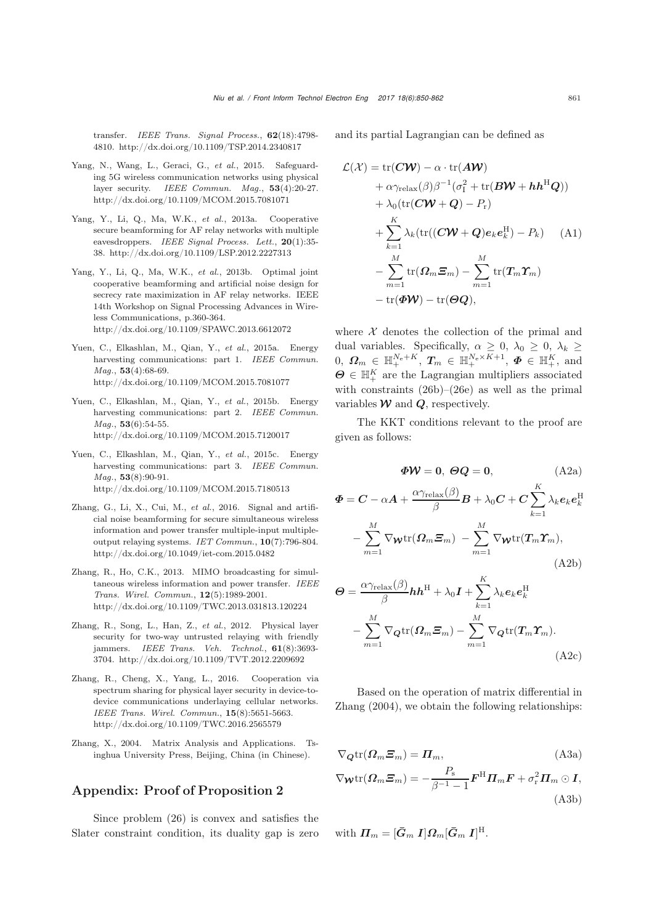transfer. *IEEE Trans. Signal Process.*, 62(18):4798- 4810. http://dx.doi.org/10.1109/TSP.2014.2340817

- <span id="page-11-1"></span>Yang, N., Wang, L., Geraci, G., *et al.*, 2015. Safeguarding 5G wireless communication networks using physical layer security. *IEEE Commun. Mag.*, 53(4):20-27. http://dx.doi.org/10.1109/MCOM.2015.7081071
- <span id="page-11-4"></span>Yang, Y., Li, Q., Ma, W.K., *et al.*, 2013a. Cooperative secure beamforming for AF relay networks with multiple eavesdroppers. *IEEE Signal Process. Lett.*, 20(1):35- 38. http://dx.doi.org/10.1109/LSP.2012.2227313
- <span id="page-11-5"></span>Yang, Y., Li, Q., Ma, W.K., *et al.*, 2013b. Optimal joint cooperative beamforming and artificial noise design for secrecy rate maximization in AF relay networks. IEEE 14th Workshop on Signal Processing Advances in Wireless Communications, p.360-364. http://dx.doi.org/10.1109/SPAWC.2013.6612072
- Yuen, C., Elkashlan, M., Qian, Y., *et al.*, 2015a. Energy harvesting communications: part 1. *IEEE Commun. Mag.*, 53(4):68-69. http://dx.doi.org/10.1109/MCOM.2015.7081077
- Yuen, C., Elkashlan, M., Qian, Y., *et al.*, 2015b. Energy harvesting communications: part 2. *IEEE Commun. Mag.*, 53(6):54-55. http://dx.doi.org/10.1109/MCOM.2015.7120017
- Yuen, C., Elkashlan, M., Qian, Y., *et al.*, 2015c. Energy harvesting communications: part 3. *IEEE Commun. Mag.*, 53(8):90-91. http://dx.doi.org/10.1109/MCOM.2015.7180513
- <span id="page-11-6"></span>Zhang, G., Li, X., Cui, M., *et al.*, 2016. Signal and artificial noise beamforming for secure simultaneous wireless information and power transfer multiple-input multipleoutput relaying systems. *IET Commun.*, 10(7):796-804. http://dx.doi.org/10.1049/iet-com.2015.0482
- <span id="page-11-0"></span>Zhang, R., Ho, C.K., 2013. MIMO broadcasting for simultaneous wireless information and power transfer. *IEEE Trans. Wirel. Commun.*, 12(5):1989-2001. http://dx.doi.org/10.1109/TWC.2013.031813.120224
- <span id="page-11-3"></span>Zhang, R., Song, L., Han, Z., *et al.*, 2012. Physical layer security for two-way untrusted relaying with friendly jammers. *IEEE Trans. Veh. Technol.*, 61(8):3693- 3704. http://dx.doi.org/10.1109/TVT.2012.2209692
- <span id="page-11-2"></span>Zhang, R., Cheng, X., Yang, L., 2016. Cooperation via spectrum sharing for physical layer security in device-todevice communications underlaying cellular networks. *IEEE Trans. Wirel. Commun.*, 15(8):5651-5663. http://dx.doi.org/10.1109/TWC.2016.2565579
- <span id="page-11-7"></span>Zhang, X., 2004. Matrix Analysis and Applications. Tsinghua University Press, Beijing, China (in Chinese).

## Appendix: Proof of Proposition 2

Since problem [\(26\)](#page-6-2) is convex and satisfies the Slater constraint condition, its duality gap is zero and its partial Lagrangian can be defined as

$$
\mathcal{L}(\mathcal{X}) = \text{tr}(\mathbf{C}\mathbf{W}) - \alpha \cdot \text{tr}(\mathbf{A}\mathbf{W}) \n+ \alpha \gamma_{\text{relax}}(\beta) \beta^{-1} (\sigma_1^2 + \text{tr}(\mathbf{B}\mathbf{W} + \mathbf{h}\mathbf{h}^{\text{H}}\mathbf{Q})) \n+ \lambda_0 (\text{tr}(\mathbf{C}\mathbf{W} + \mathbf{Q}) - P_r) \n+ \sum_{k=1}^{K} \lambda_k (\text{tr}((\mathbf{C}\mathbf{W} + \mathbf{Q})\mathbf{e}_k \mathbf{e}_k^{\text{H}}) - P_k) \quad \text{(A1)} \n- \sum_{m=1}^{M} \text{tr}(\mathbf{\Omega}_m \mathbf{\Xi}_m) - \sum_{m=1}^{M} \text{tr}(\mathbf{T}_m \mathbf{\Upsilon}_m) \n- \text{tr}(\mathbf{\Phi}\mathbf{W}) - \text{tr}(\mathbf{\Theta}\mathbf{Q}),
$$

where  $X$  denotes the collection of the primal and dual variables. Specifically,  $\alpha \geq 0$ ,  $\lambda_0 \geq 0$ ,  $\lambda_k \geq$  $0, \ \Omega_m \in \mathbb{H}^{N_e + K}, \ T_m \in \mathbb{H}^{N_e \times K + 1}, \ \Phi \in \mathbb{H}^K_+,$  and  $\Theta \subset \mathbb{H}^K$  are the Lagrangian multipliers accoming  $\boldsymbol{\Theta} \in \mathbb{H}^K_+$  are the Lagrangian multipliers associated<br>with constraints (26b) (26c) as well as the primal with constraints [\(26b\)](#page-6-3)–[\(26e\)](#page-6-4) as well as the primal variables  $W$  and  $Q$ , respectively.

The KKT conditions relevant to the proof are given as follows:

$$
\boldsymbol{\Phi W} = 0, \ \boldsymbol{\Theta Q} = 0,\tag{A2a}
$$

$$
\Phi = C - \alpha A + \frac{\alpha \gamma_{\text{relax}}(\beta)}{\beta} B + \lambda_0 C + C \sum_{k=1}^K \lambda_k e_k e_k^{\text{H}}
$$

$$
- \sum_{m=1}^M \nabla_{\mathbf{W}} \text{tr}(\Omega_m \Xi_m) - \sum_{m=1}^M \nabla_{\mathbf{W}} \text{tr}(T_m \Upsilon_m), \tag{A2b}
$$

$$
\Theta = \frac{\alpha \gamma_{\text{relax}}(\beta)}{\beta} h h^{\text{H}} + \lambda_0 I + \sum_{k=1}^{K} \lambda_k e_k e_k^{\text{H}} \n- \sum_{m=1}^{M} \nabla_{\mathbf{Q}} \text{tr}(\Omega_m \Xi_m) - \sum_{m=1}^{M} \nabla_{\mathbf{Q}} \text{tr}(T_m \Upsilon_m).
$$
\n(A2c)

Based on the operation of matrix differential in [Zhang](#page-11-7) [\(2004](#page-11-7)), we obtain the following relationships:

$$
\nabla_{\mathbf{Q}} \text{tr}(\mathbf{\Omega}_m \mathbf{\Xi}_m) = \mathbf{\Pi}_m,
$$
\n(A3a)

$$
\nabla_{\boldsymbol{\mathcal{W}}} \text{tr}(\boldsymbol{\varOmega}_m \boldsymbol{\varXi}_m) = -\frac{P_{\rm s}}{\beta^{-1} - 1} \boldsymbol{F}^{\rm H} \boldsymbol{\varPi}_m \boldsymbol{F} + \sigma_{\rm r}^2 \boldsymbol{\varPi}_m \odot \boldsymbol{\varOmega},
$$
\n(A3b)

with 
$$
\boldsymbol{\Pi}_m = [\boldsymbol{\bar{G}}_m \; \boldsymbol{I}] \boldsymbol{\Omega}_m [\boldsymbol{\bar{G}}_m \; \boldsymbol{I}]^{\mathrm{H}}.
$$